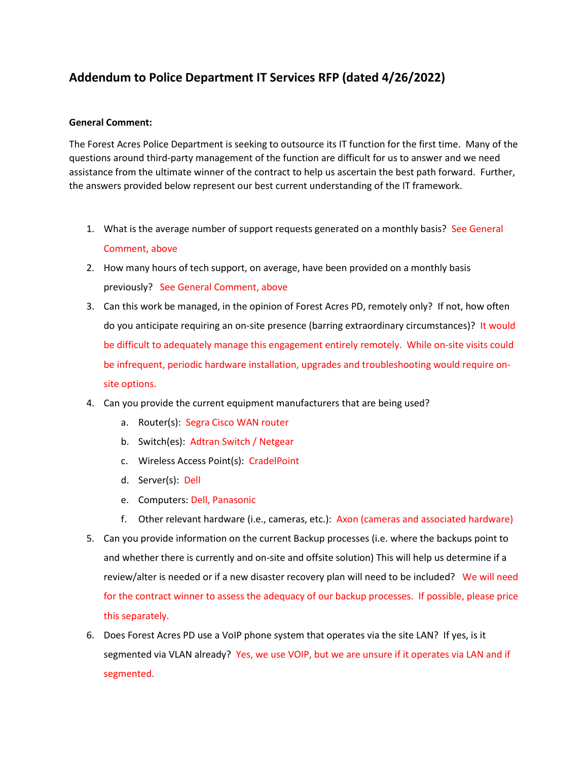## **Addendum to Police Department IT Services RFP (dated 4/26/2022)**

## **General Comment:**

The Forest Acres Police Department is seeking to outsource its IT function for the first time. Many of the questions around third-party management of the function are difficult for us to answer and we need assistance from the ultimate winner of the contract to help us ascertain the best path forward. Further, the answers provided below represent our best current understanding of the IT framework.

- 1. What is the average number of support requests generated on a monthly basis? See General Comment, above
- 2. How many hours of tech support, on average, have been provided on a monthly basis previously? See General Comment, above
- 3. Can this work be managed, in the opinion of Forest Acres PD, remotely only? If not, how often do you anticipate requiring an on-site presence (barring extraordinary circumstances)? It would be difficult to adequately manage this engagement entirely remotely. While on-site visits could be infrequent, periodic hardware installation, upgrades and troubleshooting would require onsite options.
- 4. Can you provide the current equipment manufacturers that are being used?
	- a. Router(s): Segra Cisco WAN router
	- b. Switch(es): Adtran Switch / Netgear
	- c. Wireless Access Point(s): CradelPoint
	- d. Server(s): Dell
	- e. Computers: Dell, Panasonic
	- f. Other relevant hardware (i.e., cameras, etc.): Axon (cameras and associated hardware)
- 5. Can you provide information on the current Backup processes (i.e. where the backups point to and whether there is currently and on-site and offsite solution) This will help us determine if a review/alter is needed or if a new disaster recovery plan will need to be included? We will need for the contract winner to assess the adequacy of our backup processes. If possible, please price this separately.
- 6. Does Forest Acres PD use a VoIP phone system that operates via the site LAN? If yes, is it segmented via VLAN already? Yes, we use VOIP, but we are unsure if it operates via LAN and if segmented.